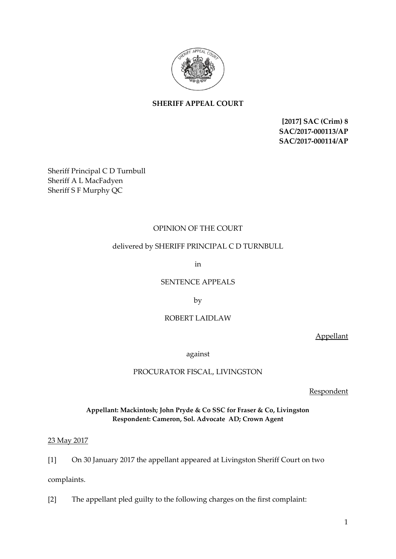

# **SHERIFF APPEAL COURT**

**[2017] SAC (Crim) 8 SAC/2017-000113/AP SAC/2017-000114/AP**

Sheriff Principal C D Turnbull Sheriff A L MacFadyen Sheriff S F Murphy QC

## OPINION OF THE COURT

### delivered by SHERIFF PRINCIPAL C D TURNBULL

in

SENTENCE APPEALS

by

### ROBERT LAIDLAW

Appellant

against

PROCURATOR FISCAL, LIVINGSTON

**Respondent** 

**Appellant: Mackintosh; John Pryde & Co SSC for Fraser & Co, Livingston Respondent: Cameron, Sol. Advocate AD; Crown Agent**

23 May 2017

[1] On 30 January 2017 the appellant appeared at Livingston Sheriff Court on two

complaints.

[2] The appellant pled guilty to the following charges on the first complaint: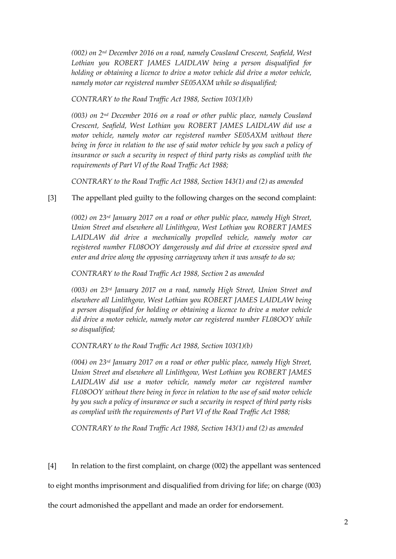*(002) on 2nd December 2016 on a road, namely Cousland Crescent, Seafield, West Lothian you ROBERT JAMES LAIDLAW being a person disqualified for holding or obtaining a licence to drive a motor vehicle did drive a motor vehicle, namely motor car registered number SE05AXM while so disqualified;*

*CONTRARY to the Road Traffic Act 1988, Section 103(1)(b)*

*(003) on 2nd December 2016 on a road or other public place, namely Cousland Crescent, Seafield, West Lothian you ROBERT JAMES LAIDLAW did use a motor vehicle, namely motor car registered number SE05AXM without there*  being in force in relation to the use of said motor vehicle by you such a policy of insurance or such a security in respect of third party risks as complied with the *requirements of Part VI of the Road Traffic Act 1988;*

*CONTRARY to the Road Traffic Act 1988, Section 143(1) and (2) as amended*

## [3] The appellant pled guilty to the following charges on the second complaint:

*(002) on 23rd January 2017 on a road or other public place, namely High Street, Union Street and elsewhere all Linlithgow, West Lothian you ROBERT JAMES LAIDLAW did drive a mechanically propelled vehicle, namely motor car registered number FL08OOY dangerously and did drive at excessive speed and enter and drive along the opposing carriageway when it was unsafe to do so;*

*CONTRARY to the Road Traffic Act 1988, Section 2 as amended*

*(003) on 23rd January 2017 on a road, namely High Street, Union Street and elsewhere all Linlithgow, West Lothian you ROBERT JAMES LAIDLAW being a person disqualified for holding or obtaining a licence to drive a motor vehicle did drive a motor vehicle, namely motor car registered number FL08OOY while so disqualified;*

*CONTRARY to the Road Traffic Act 1988, Section 103(1)(b)*

*(004) on 23rd January 2017 on a road or other public place, namely High Street, Union Street and elsewhere all Linlithgow, West Lothian you ROBERT JAMES*  LAIDLAW did use a motor vehicle, namely motor car registered number *FL08OOY without there being in force in relation to the use of said motor vehicle by you such a policy of insurance or such a security in respect of third party risks as complied with the requirements of Part VI of the Road Traffic Act 1988;*

*CONTRARY to the Road Traffic Act 1988, Section 143(1) and (2) as amended*

[4] In relation to the first complaint, on charge (002) the appellant was sentenced

to eight months imprisonment and disqualified from driving for life; on charge (003)

the court admonished the appellant and made an order for endorsement.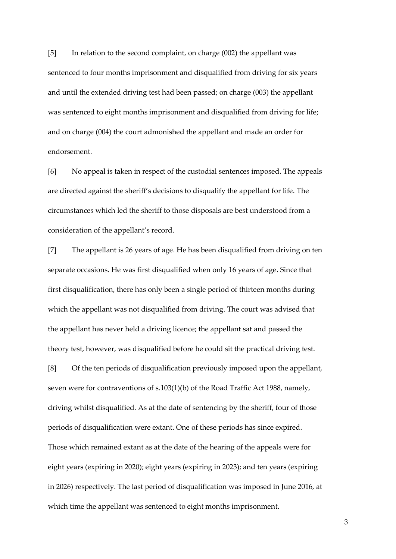[5] In relation to the second complaint, on charge (002) the appellant was sentenced to four months imprisonment and disqualified from driving for six years and until the extended driving test had been passed; on charge (003) the appellant was sentenced to eight months imprisonment and disqualified from driving for life; and on charge (004) the court admonished the appellant and made an order for endorsement.

[6] No appeal is taken in respect of the custodial sentences imposed. The appeals are directed against the sheriff's decisions to disqualify the appellant for life. The circumstances which led the sheriff to those disposals are best understood from a consideration of the appellant's record.

[7] The appellant is 26 years of age. He has been disqualified from driving on ten separate occasions. He was first disqualified when only 16 years of age. Since that first disqualification, there has only been a single period of thirteen months during which the appellant was not disqualified from driving. The court was advised that the appellant has never held a driving licence; the appellant sat and passed the theory test, however, was disqualified before he could sit the practical driving test.

[8] Of the ten periods of disqualification previously imposed upon the appellant, seven were for contraventions of s.103(1)(b) of the Road Traffic Act 1988, namely, driving whilst disqualified. As at the date of sentencing by the sheriff, four of those periods of disqualification were extant. One of these periods has since expired. Those which remained extant as at the date of the hearing of the appeals were for eight years (expiring in 2020); eight years (expiring in 2023); and ten years (expiring in 2026) respectively. The last period of disqualification was imposed in June 2016, at which time the appellant was sentenced to eight months imprisonment.

3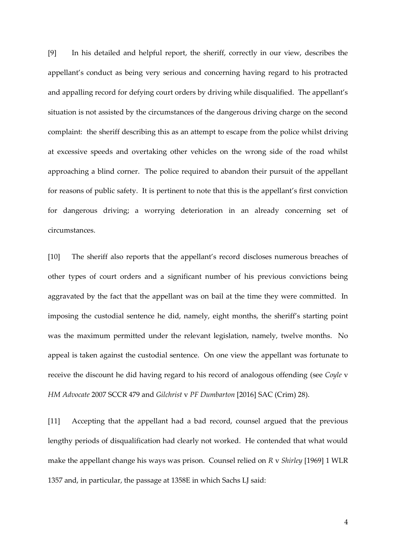[9] In his detailed and helpful report, the sheriff, correctly in our view, describes the appellant's conduct as being very serious and concerning having regard to his protracted and appalling record for defying court orders by driving while disqualified. The appellant's situation is not assisted by the circumstances of the dangerous driving charge on the second complaint: the sheriff describing this as an attempt to escape from the police whilst driving at excessive speeds and overtaking other vehicles on the wrong side of the road whilst approaching a blind corner. The police required to abandon their pursuit of the appellant for reasons of public safety. It is pertinent to note that this is the appellant's first conviction for dangerous driving; a worrying deterioration in an already concerning set of circumstances.

[10] The sheriff also reports that the appellant's record discloses numerous breaches of other types of court orders and a significant number of his previous convictions being aggravated by the fact that the appellant was on bail at the time they were committed. In imposing the custodial sentence he did, namely, eight months, the sheriff's starting point was the maximum permitted under the relevant legislation, namely, twelve months. No appeal is taken against the custodial sentence. On one view the appellant was fortunate to receive the discount he did having regard to his record of analogous offending (see *Coyle* v *HM Advocate* 2007 SCCR 479 and *Gilchrist* v *PF Dumbarton* [2016] SAC (Crim) 28).

[11] Accepting that the appellant had a bad record, counsel argued that the previous lengthy periods of disqualification had clearly not worked. He contended that what would make the appellant change his ways was prison. Counsel relied on *R* v *Shirley* [1969] 1 WLR 1357 and, in particular, the passage at 1358E in which Sachs LJ said: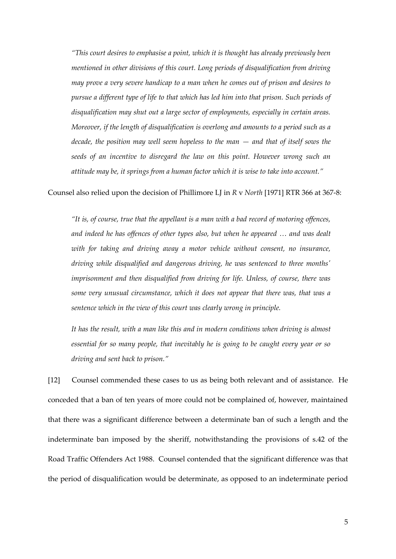*"This court desires to emphasise a point, which it is thought has already previously been mentioned in other divisions of this court. Long periods of disqualification from driving may prove a very severe handicap to a man when he comes out of prison and desires to pursue a different type of life to that which has led him into that prison. Such periods of disqualification may shut out a large sector of employments, especially in certain areas. Moreover, if the length of disqualification is overlong and amounts to a period such as a decade, the position may well seem hopeless to the man — and that of itself sows the seeds of an incentive to disregard the law on this point. However wrong such an attitude may be, it springs from a human factor which it is wise to take into account."*

#### Counsel also relied upon the decision of Phillimore LJ in *R* v *North* [1971] RTR 366 at 367-8:

*"It is, of course, true that the appellant is a man with a bad record of motoring offences, and indeed he has offences of other types also, but when he appeared … and was dealt with for taking and driving away a motor vehicle without consent, no insurance, driving while disqualified and dangerous driving, he was sentenced to three months' imprisonment and then disqualified from driving for life. Unless, of course, there was some very unusual circumstance, which it does not appear that there was, that was a sentence which in the view of this court was clearly wrong in principle.* 

It has the result, with a man like this and in modern conditions when driving is almost *essential for so many people, that inevitably he is going to be caught every year or so driving and sent back to prison."*

[12] Counsel commended these cases to us as being both relevant and of assistance. He conceded that a ban of ten years of more could not be complained of, however, maintained that there was a significant difference between a determinate ban of such a length and the indeterminate ban imposed by the sheriff, notwithstanding the provisions of s.42 of the Road Traffic Offenders Act 1988. Counsel contended that the significant difference was that the period of disqualification would be determinate, as opposed to an indeterminate period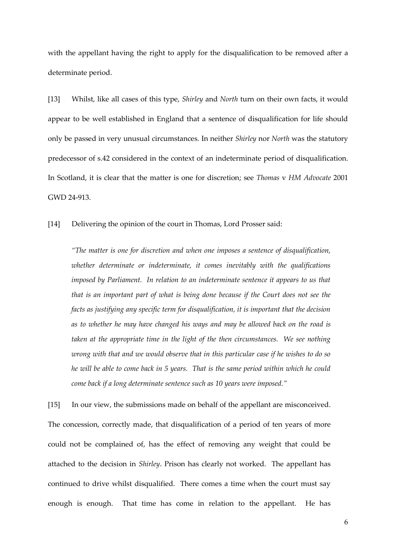with the appellant having the right to apply for the disqualification to be removed after a determinate period.

[13] Whilst, like all cases of this type, *Shirley* and *North* turn on their own facts, it would appear to be well established in England that a sentence of disqualification for life should only be passed in very unusual circumstances. In neither *Shirley* nor *North* was the statutory predecessor of s.42 considered in the context of an indeterminate period of disqualification. In Scotland, it is clear that the matter is one for discretion; see *Thomas* v *HM Advocate* 2001 GWD 24-913.

[14] Delivering the opinion of the court in Thomas, Lord Prosser said:

*"The matter is one for discretion and when one imposes a sentence of disqualification, whether determinate or indeterminate, it comes inevitably with the qualifications imposed by Parliament. In relation to an indeterminate sentence it appears to us that that is an important part of what is being done because if the Court does not see the facts as justifying any specific term for disqualification, it is important that the decision as to whether he may have changed his ways and may be allowed back on the road is taken at the appropriate time in the light of the then circumstances. We see nothing wrong with that and we would observe that in this particular case if he wishes to do so he will be able to come back in 5 years. That is the same period within which he could come back if a long determinate sentence such as 10 years were imposed."*

[15] In our view, the submissions made on behalf of the appellant are misconceived. The concession, correctly made, that disqualification of a period of ten years of more could not be complained of, has the effect of removing any weight that could be attached to the decision in *Shirley*. Prison has clearly not worked. The appellant has continued to drive whilst disqualified. There comes a time when the court must say enough is enough. That time has come in relation to the appellant. He has